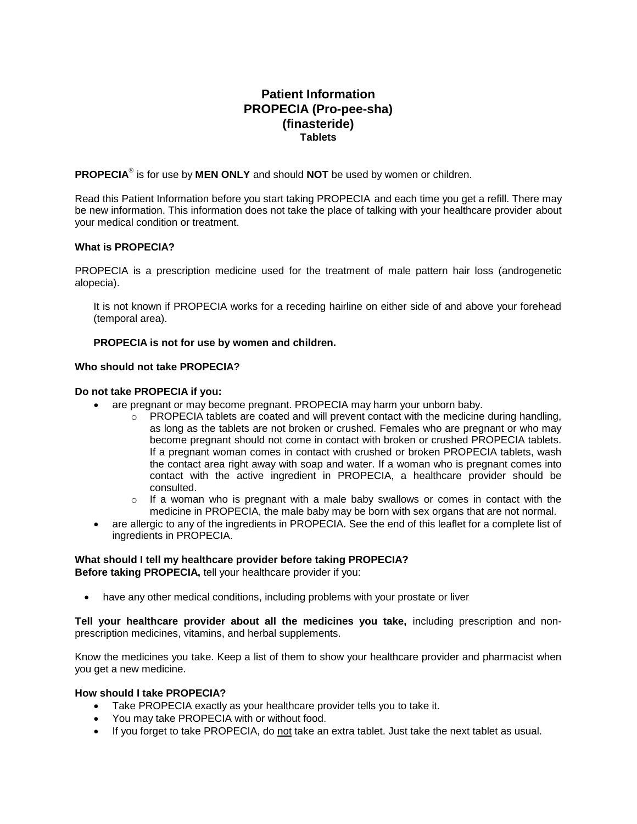# **Patient Information PROPECIA (Pro-pee-sha) (finasteride) Tablets**

PROPECIA<sup>®</sup> is for use by MEN ONLY and should NOT be used by women or children.

Read this Patient Information before you start taking PROPECIA and each time you get a refill. There may be new information. This information does not take the place of talking with your healthcare provider about your medical condition or treatment.

# **What is PROPECIA?**

PROPECIA is a prescription medicine used for the treatment of male pattern hair loss (androgenetic alopecia).

It is not known if PROPECIA works for a receding hairline on either side of and above your forehead (temporal area).

# **PROPECIA is not for use by women and children.**

# **Who should not take PROPECIA?**

# **Do not take PROPECIA if you:**

- are pregnant or may become pregnant. PROPECIA may harm your unborn baby.
	- $\circ$  PROPECIA tablets are coated and will prevent contact with the medicine during handling, as long as the tablets are not broken or crushed. Females who are pregnant or who may become pregnant should not come in contact with broken or crushed PROPECIA tablets. If a pregnant woman comes in contact with crushed or broken PROPECIA tablets, wash the contact area right away with soap and water. If a woman who is pregnant comes into contact with the active ingredient in PROPECIA, a healthcare provider should be consulted.
	- $\circ$  If a woman who is pregnant with a male baby swallows or comes in contact with the medicine in PROPECIA, the male baby may be born with sex organs that are not normal.
- are allergic to any of the ingredients in PROPECIA. See the end of this leaflet for a complete list of ingredients in PROPECIA.

# **What should I tell my healthcare provider before taking PROPECIA?**

**Before taking PROPECIA,** tell your healthcare provider if you:

• have any other medical conditions, including problems with your prostate or liver

**Tell your healthcare provider about all the medicines you take,** including prescription and nonprescription medicines, vitamins, and herbal supplements.

Know the medicines you take. Keep a list of them to show your healthcare provider and pharmacist when you get a new medicine.

# **How should I take PROPECIA?**

- Take PROPECIA exactly as your healthcare provider tells you to take it.
- You may take PROPECIA with or without food.
- If you forget to take PROPECIA, do not take an extra tablet. Just take the next tablet as usual.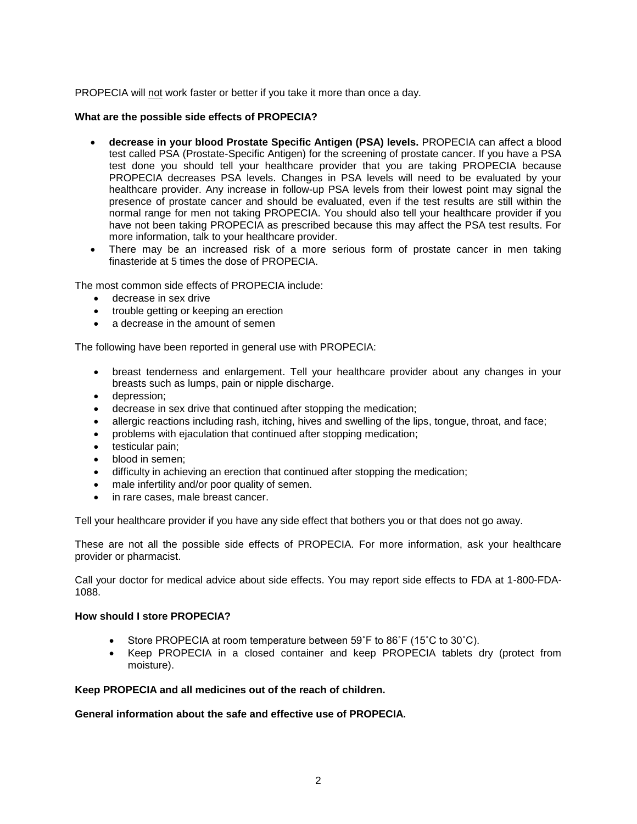PROPECIA will not work faster or better if you take it more than once a day.

# **What are the possible side effects of PROPECIA?**

- **decrease in your blood Prostate Specific Antigen (PSA) levels.** PROPECIA can affect a blood test called PSA (Prostate-Specific Antigen) for the screening of prostate cancer. If you have a PSA test done you should tell your healthcare provider that you are taking PROPECIA because PROPECIA decreases PSA levels. Changes in PSA levels will need to be evaluated by your healthcare provider. Any increase in follow-up PSA levels from their lowest point may signal the presence of prostate cancer and should be evaluated, even if the test results are still within the normal range for men not taking PROPECIA. You should also tell your healthcare provider if you have not been taking PROPECIA as prescribed because this may affect the PSA test results. For more information, talk to your healthcare provider.
- There may be an increased risk of a more serious form of prostate cancer in men taking finasteride at 5 times the dose of PROPECIA.

The most common side effects of PROPECIA include:

- decrease in sex drive
- trouble getting or keeping an erection
- a decrease in the amount of semen

The following have been reported in general use with PROPECIA:

- breast tenderness and enlargement. Tell your healthcare provider about any changes in your breasts such as lumps, pain or nipple discharge.
- depression;
- decrease in sex drive that continued after stopping the medication;
- allergic reactions including rash, itching, hives and swelling of the lips, tongue, throat, and face;
- problems with ejaculation that continued after stopping medication;
- testicular pain;
- blood in semen;
- difficulty in achieving an erection that continued after stopping the medication;
- male infertility and/or poor quality of semen.
- in rare cases, male breast cancer.

Tell your healthcare provider if you have any side effect that bothers you or that does not go away.

These are not all the possible side effects of PROPECIA. For more information, ask your healthcare provider or pharmacist.

Call your doctor for medical advice about side effects. You may report side effects to FDA at 1-800-FDA-1088.

# **How should I store PROPECIA?**

- Store PROPECIA at room temperature between 59˚F to 86˚F (15˚C to 30˚C).
- Keep PROPECIA in a closed container and keep PROPECIA tablets dry (protect from moisture).

# **Keep PROPECIA and all medicines out of the reach of children.**

# **General information about the safe and effective use of PROPECIA.**